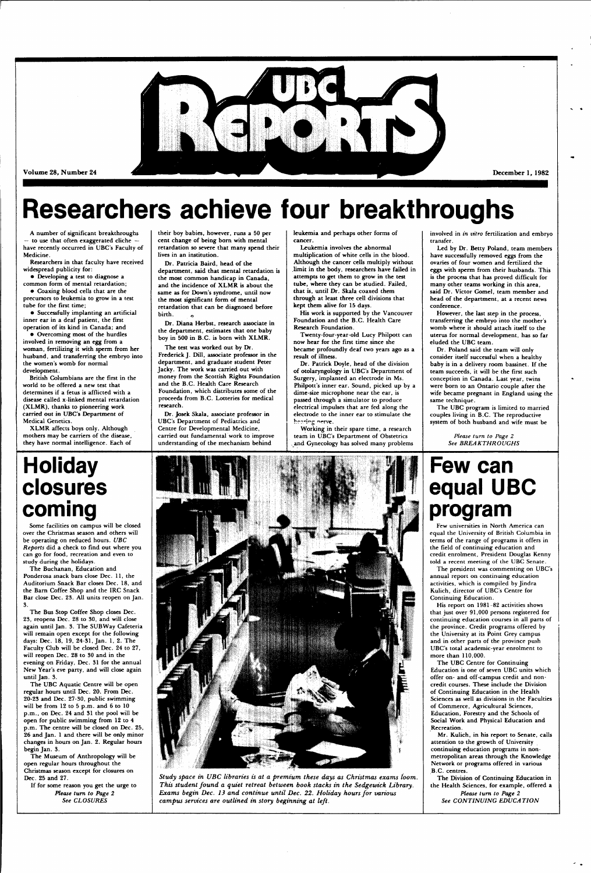

Volume 28, Number 24

December 1, 1982

# **Researchers achieve four breakthroughs**

**A number of significant breakthroughs — to use that often exaggerated cliche have recently occurred in UBC's Faculty of Medicine.** 

**Researchers in that faculty have received widespread publicity for:** 

**• Developing a test to diagnose a common form of mental retardation;** 

**• Coaxing blood cells that are the precursors to leukemia to grow in a test** 

**tube for the first time; • Successfully implanting an artificial inner ear in a deaf patient, the first** 

**operation of its kind in Canada; and • Overcoming most of the hurdles involved in removing an egg from a woman, fertilizing it with sperm from her husband, and transferring the embryo into the women's womb for normal development.** 

**Dr. Patricia Baird, head of the department, said that mental retardation is the most common handicap in Canada, and the incidence of XLMR is about the same as for Down's syndrome, until now the most significant form of mental retardation that can be diagnosed before**  birth.

**British Columbians are the first in the world to be offered a new test that determines if a fetus is afflicted with a disease called x-linked mental retardation (XLMR), thanks to pioneering work carried out in UBC's Department of Medical Genetics.** 

**XLMR affects boys only. Although mothers may be carriers of the disease, they have normal intelligence. Each of**  **their boy babies, however, runs a 50 per cent change of being born with mental retardation so severe that many spend their lives in an institution.** 

**Dr. Diana Herbst, research associate in the department, estimates that one baby boy in 500 in B.C. is born with XLMR.** 

**The test was worked out by Dr. Frederick J. Dill, associate professor in the department, and graduate student Peter Jacky. The work was carried out with money from the Scottish Rights Foundation and the B.C. Health Care Research Foundation, which distributes some of the proceeds from B.C. Lotteries for medical research.** 

**Dr. Josek Skala, associate professor in UBC's Department of Pediatrics and Centre for Developmental Medicine, carried out fundamental work to improve understanding of the mechanism behind** 

**leukemia and perhaps other forms of cancer.** 

**Leukemia involves the abnormal multiplication of white cells in the blood. Although the cancer cells multiply without .limit in the body, researchers have failed in attempts to get them to grow in the test tube, where they can be studied. Failed, that is, until Dr. Skala coaxed them through at least three cell divisions that kept them alive for 15 days.** 

**His work is supported by the Vancouver Foundation and the B.C. Health Care Research Foundation.** 

**Twenty-four-year-old Lucy Philpott can now hear for the first time since she became profoundly deaf two years ago as a result of illness.** 

**Dr. Patrick Doyle, head of the division of otolaryngology in UBC's Department of Surgery, implanted an electrode in Ms. Philpott's inner ear. Sound, picked up by a dime-size microphone near the ear, is passed through a simulator to produce electrical impulses that are fed along the electrode to the inner ear to stimulate the J.-.,-; . •g "erve.** 

**Working in their spare time, a research team in UBC's Department of Obstetrics , and Gynecology has solved many problems**  **involved in** *in vitro* **fertilization and embryo transfer.** 

**Led by Dr. Betty Poland, team members have successfully removed eggs from the ovaries of four women and fertilized the eggs with sperm from their husbands. This is the process that has proved difficult for many other teams working in this area, said Dr. Victor Gomel, team member and head of the department, at a recent news conference.** 

**However, the last step in the process, transferring the embryo into the mother's womb where it should attach itself to the uterus for normal development, has so far eluded the UBC team.** 

**Dr. Poland said the team will only consider itself successful when a healthy baby is in a delivery room bassinet. If the team succeeds, it will be the first such conception in Canada. Last year, twins were born to an Ontario couple after the wife became pregnant in England using the same technique.** 

**The UBC program is limited to married couples living in B.C. The reproductive system of both husband and wife must be** 

> *Please turn to Page 2 See BREAKTHROUGHS*

## **Holiday closures coming**

**Some facilities on campus will be closed over the Christmas season and others will be operating on reduced hours.** *UBC Reports* **did a check to find out where you can go for food, recreation and even to study during the holidays.** 

**The Buchanan, Education and Ponderosa snack bars close Dec. 11, the Auditorium Snack Bar closes Dec. 18, and the Barn Coffee Shop and the IRC Snack Bar close Dec. 23. All units reopen on Jan. 3.** 

**The Bus Stop Coffee Shop closes Dec. 23, reopens Dec. 28 to 30, and will close again until Jan. 3. The SUB Way Cafeteria will remain open except for the following days: Dec. 18, 19, 24-31, Jan. 1, 2. The Faculty Club will be closed Dec. 24 to 27,** 



**will reopen Dec. 28 to 30 and in the evening on Friday, Dec. 31 for the annual New Year's eve party, and will close again until Jan. 3.** 

**The UBC Aquatic Centre will be open regular hours until Dec. 20. From Dec. 20-23 and Dec. 27-30, public swimming will be from 12 to 5 p.m. and 6 to 10 p.m., on Dec. 24 and 31 the pool will be open for public swimming from 12 to 4 p.m. The centre will be closed on Dec. 25, 26 and Jan. 1 and there will be only minor changes in hours on Jan. 2. Regular hours begin Jan. 3.** 

**The Museum of Anthropology will be open regular hours throughout the Christmas season except for closures on Dec. 25 and 27.** 

**If for some reason you get the urge to** 

*Please turn to Page 2 See CLOSURES* 

*Study space in UBC libraries is at a premium these days as Christmas exams toom. This student found a quiet retreat between book stacks in the Sedgewick Library. Exams begin Dec. 13 and continue until Dec. 22. Holiday hours for various campus services are outlined in story beginning at left.* 

## **Few can equal UBC program**

**Few universities in North America can equal the University of British Columbia in terms of the range of programs it offers in the field of continuing education and credit enrolment, President Douglas Kenny told a recent meeting of the UBC Senate.** 

**The president was commenting on UBC's annual report on continuing education activities, which is compiled by Jindra Kulich, director of UBC's Centre for Continuing Education.** 

**His report on 1981-82 activities shows that just over 91,000 persons registered for continuing education courses in all parts of the province. Credit programs offered by the University at its Point Grey campus and in other parts of the province push UBC's total academic-year enrolment to** 

**more than 110,000.** 

**The UBC Centre for Continuing Education is one of seven UBC units which offer on- and off-campus credit and noncredit courses. These include the Division of Continuing Education in the Health Sciences as well as divisions in the Faculties of Commerce, Agricultural Sciences, Education, Forestry and the Schools of Social Work and Physical Education and Recreation.** 

**Mr. Kulich, in his report to Senate, calls attention to the growth of University continuing education programs in nonmetropolitan areas through the Knowledge Network or programs offered in various B.C. centres.** 

**The Division of Continuing Education in the Health Sciences, for example, offered a** 

*Please turn to Page 2 See CONTINUING EDUCATION*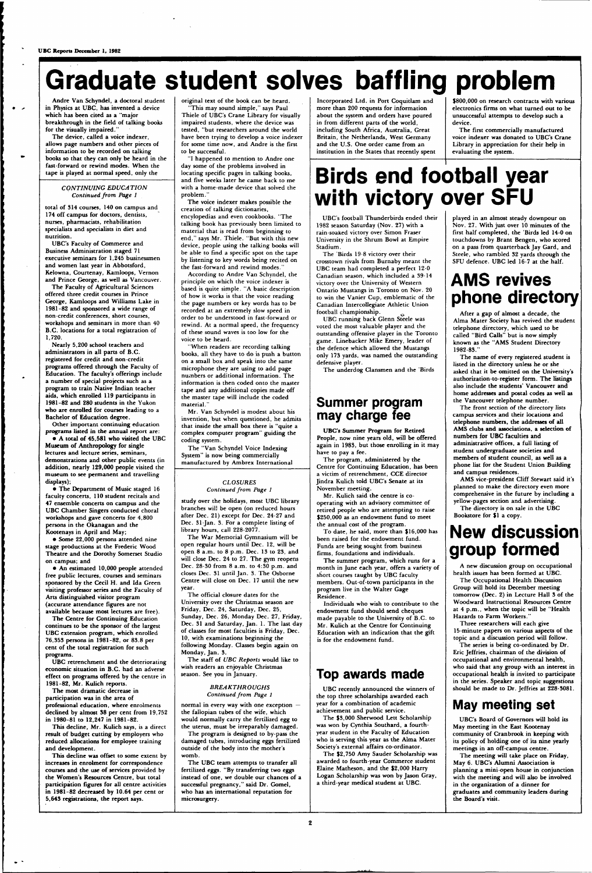# **Graduate student solves baffling problem**

**Andre Van Schyndel, a doctoral student in Physics at UBC, has invented a device which has been cited as a "major breakthrough in the field of talking books for the visually impaired."** 

**The device, called a voice indexer, allows page numbers and other pieces of information to be recorded on talking books so that they can only be heard in the fast-forward or rewind modes. When the tape is played at normal speed, only the** 

#### *CONTINUING EDUCATION Continued from Page 1*

**total of 314 courses, 140 on campus and 174 off campus for doctors, dentists, nurses, pharmacists, rehabilitation specialists and specialists in diet and nutrition.** 

**UBC's Faculty of Commerce and Business Administration staged 71 executive seminars for 1,245 businessmen and women last year in Abbotsford, Kelowna, Courtenay, Kamloops, Vernon and Prince George, as well as Vancouver.** 

**The Faculty of Agricultural Sciences offered three credit courses in Prince George, Kamloops and Williams Lake in 1981-82 and sponsored a wide range of non-credit conferences, short courses, workshops and seminars in more than 40 B.C. locations for a total registration of 1,720.** 

**Nearly 5,200 school teachers and administrators in all parts of B.C. registered for credit and non-credit programs offered through the Faculty of Education. The faculty's offerings include a number of special projects such as a program to train Native Indian teacher aids, which enrolled 119 participants in 1981-82 and 280 students in the Yukon who are enrolled for courses leading to a Bachelor of Education degree.** 

**Other important continuing education programs listed in the annual report are:** 

**• A total of 45,581 who visited the UBC Museum of Anthropology for single lectures and lecture series, seminars, demonstrations and other public events (in addition, nearly 129,000 people visited the museum to see permanent and travelling displays);** 

**• The Department of Music staged 16 faculty concerts, 110 student recitals and 47 ensemble concerts on campus and the UBC Chamber Singers conducted choral workshops and gave concerts for 4,800 persons in the Okanagan and the Kootenays in April and May;** 

**• Some 22,000 persons attended nine stage productions at the Frederic Wood Theatre and the Dorothy Somerset Studio on campus; and** 

**• An estimated 10,000 people attended free public lectures, courses and seminars sponsored by the Cecil H. and Ida Green visiting professor series and the Faculty of Arts distinguished visitor program (accurate attendance figures are not available because most lectures are free).** 

**The Centre for Continuing Education continues to be the sponsor of the largest UBC extension program, which enrolled 76,353 persons in 1981-82, or 83.8 per cent of the total registration for such** 

**programs.** 

**UBC retrenchment and the deteriorating economic situation in B.C. had an adverse effect on programs offered by the centre in 1981-82, Mr. Kulich reports.** 

**The most dramatic decrease in participation was in the area of professional education, where enrolments declined by almost 38 per cent from 19,752 in 1980-81 to 12,247 in 1981-82.** 

**This decline, Mr. Kulich says, is a direct result of budget cutting by employers who reduced allocations for employee training and development.** 

**This decline was offset to some extent by increases in enrolment for correspondence courses and the use of services provided by the Women's Resources Centre, but total participation figures for all centre activities in 1981-82 decreased by 10.64 per cent or 5,643 registrations, the report says.** 

**original text of the book can be heard. "This may sound simple," says Paul** 

**Thiele of UBC's Crane Library for visually impaired students, where the device was tested, "but researchers around the world have been trying to develop a voice indexer for some time now, and Andre is the first to be successful.** 

**"I happened to mention to Andre one day some of the problems involved in locating specific pages in talking books, and five weeks later he came back to me with a home-made device that solved the problem."** 

**The voice indexer makes possible the creation of talking dictionaries, encylopedias and even cookbooks. "The talking book has previously been limited to material that is read from beginning to end," says Mr. Thiele. "But with this new device, people using the talking books will be able to find a specific spot on the tape by listening to key words being recited on the fast-forward and rewind modes."** 

**According to Andre Van Schyndel, the principle on which the voice indexer is based is quite simple. "A basic description of how it works is that the voice reading the page numbers or key words has to be recorded at an extremely slow speed in order to be understood in fast-forward or rewind. At a normal speed, the frequency of these sound waves is too low for the voice to be heard.** 

**"When readers are recording talking books, all they have to do is push a button on a small box and speak into the same microphone they are using to add page numbers or additional information. The information is then coded onto the master tape and any additional copies made off the master tape will include the coded material."** 

**Mr. Van Schyndel is modest about his invention, but when questioned, he admits that inside the small box there is "quite a complex computer program" guiding the coding system.** 

**The "Van Schyndel Voice Indexing System" is now being commercially manufactured by Ambrex International** 

#### *CLOSURES Continued from Page 1*

**study over the holidays, most UBC library branches will be open (on reduced hours after Dec. 21) except for Dec. 24-27 and Dec. 31-Jan. 3. For a complete listing of library hours, call 228-2077.** 

**The War Memorial Gymnasium will be open regular hours until Dec. 12, will be open 8 a.m. to 8 p.m. Dec. 13 to 23, and will close Dec. 24 to 27. The gym reopens Dec. 28-30 from 8 a.m. to 4:30 p.m. and closes Dec. 31 until Jan. 3. The Osborne Centre will close on Dec. 17 until the new year.** 

**The official closure dates for the University over the Christmas season are Friday, Dec. 24, Saturday, Dec. 25, Sunday, Dec. 26, Monday Dec. 27, Friday, Dec. 31 and Saturday, Jan. 1. The last day of classes for most faculties is Friday, Dec. 10, with examinations beginning the following Monday. Classes begin again on** 

**Monday, Jan. 3.** 

**The staff of** *UBC Reports* **would like to wish readers an enjoyable Christmas season. See you in January.** 

#### *BREAKTHROUGHS Continued from Page 1*

**normal in every way with one exception the fallopian tubes of the wife, which would normally carry the fertilized egg to the uterus, must be irreparably damaged. The program is designed to by-pass the damaged tubes, introducing eggs fertilized outside of the body into the mother's womb.** 

**The UBC team attempts to transfer all fertilized eggs. "By transferring two eggs instead of one, we double our chances of a successful pregnancy," said Dr. Gomel, who has an international reputation for microsurgery.** 

**Incorporated Ltd. in Port Coquitlam and more than 200 requests for information about the system and orders have poured in from different parts of the world, including South Africa, Australia, Great Britain, the Netherlands, West Germany and the U.S. One order came from an institution in the States that recently spent**  **\$800,000 on research contracts with various electronics firms on what turned out to be unsuccessful attempts to develop such a device.** 

**The first commercially manufactured voice indexer was donated to UBC's Crane Library in appreciation for their help in evaluating the system.** 

## **Birds end football year with victory over SFU**

**UBC's football Thunderbirds ended their 1982 season Saturday (Nov. 27) with a rain-soaked victory over Simon Fraser University in the Shrum Bowl at Empire Stadium.** 

**The 'Birds 19-8 victory over their crosstown rivals from Burnaby meant the UBC team had completed a perfect 12-0 Canadian season, which included a 39-14 victory over the University of Western Ontario Mustangs in Toronto on Nov. 20 to win the Vanier Cup, emblematic of the Canadian Intercollegiate Athletic Union football championship.** 

**UBC running back Glenn Steele was voted the most valuable player and the outstanding offensive player in the Toronto game. Linebacker Mike Emery, leader of the defence which allowed the Mustangs only 173 yards, was named the outstanding defensive player.** 

**The underdog Clansmen and the 'Birds** 

#### **Summer program may charge fee**

**UBC's Summer Program for Retired People, now nine years old, will be offered again in 1983, but those enrolling in it may have to pay a fee.** 

**The program, administered by the Centre for Continuing Education, has been a victim of retrenchment, CCE director Jindra Kulich told UBC's Senate at its November meeting.** 

**Mr. Kulich said the centre is cooperating with an advisory committee of retired people who are attempting to raise |250,000 as an endowment fund to meet the annual cost of the program.** 

**To date, he said, more than \$16,000 has been raised for the endowment fund. Funds are being sought from business firms, foundations and individuals.** 

**The summer program, which runs for a month in June each year, offers a variety of short courses taught by UBC faculty members. Out-of-town participants in the program live in the Walter Gage Residence.** 

**Individuals who wish to contribute to the endowment fund should send cheques made payable to the University of B.C. to Mr. Kulich at the Centre for Continuing Education with an indication that the gift is for the endowment fund.** 

#### **Top awards made**

**UBC recently announced the winners of the top three scholarships awarded each year for a combination of academic achievement and public service.** 

**The \$3,000 Sherwood Lett Scholarship was won by Cynthia Southard, a fourthyear student in the Faculty of Education who is serving this year as the Alma Mater Society's external affairs co-ordinator.** 

**The \$2,750 Amy Sauder Scholarship was awarded to fourth-year Commerce student Elaine Matheson, and the \$2,000 Harry Logan Scholarship was won by Jason Gray, a third-year medical student at UBC.** 

**played in an almost steady downpour on Nov. 27. With just over 10 minutes of the first half completed, the 'Birds led 14-0 on touchdowns by Brant Bengen, who scored on a pass from quarterback Jay Gard, and Steele, who rambled 32 yards through the SFU defence. UBC led 16-7 at the half.** 

### **AMS revives phone directory**

**After a gap of almost a decade, the Alma Mater Society has revived the student telephone directory, which used to be called "Bird Calls" but is now simply known as the "AMS Student Directory 1982-83."** 

**The name of every registered student is listed in the directory unless he or she asked that it be omitted on the University's authorization-to-register form. The listings also include the students' Vancouver and home addresses and postal codes as well as the Vancouver telephone number.** 

**The front section of the directory lists campus services and their locations and telephone numbers, the addresses of all AMS clubs and associations, a selection of numbers for UBC faculties and administrative offices, a full listing of student undergraduate societies and members of student council, as well as a phone list for the Student Union Building and campus residences.** 

**AMS vice-president Cliff Stewart said it's planned to make the directory even more comprehensive in the future by including a yellow-pages section and advertising.** 

**The directory is on sale in the UBC Bookstore for \$1 a copy.** 

### **New discussion group formed**

**A new discussion group on occupational health issues has been formed at UBC.** 

**The Occupational Health Discussion Group will hold its December meeting tomorrow (Dec. 2) in Lecture Hall 3 of the Woodward Instructional Resources Centre at 4 p.m., when the topic will be "Health Hazards to Farm Workers."** 

**Three researchers will each give 15-minute papers on various aspects of the topic and a discussion period will follow.** 

**The series is being co-ordinated by Dr.** 

**Eric Jeffries, chairman of the division of occupational and environmental health, who said that any group with an interest in occupational health is invited to participate in the series. Speaker and topic suggestions should be made to Dr. Jeffries at 228-3081.** 

### **May meeting set**

**UBC's Board of Governors will hold its May meeting in the East Kootenay community of Cranbrook in keeping with its policy of holding one of its nine yearly meetings in an off-campus centre.** 

**The meeting will take place on Friday, May 6. UBC's Alumni Association is planning a mini-open house in conjunction with the meeting and will also be involved in the organization of a dinner for graduates and community leaders during the Board's visit.** 

 $\boldsymbol{2}$